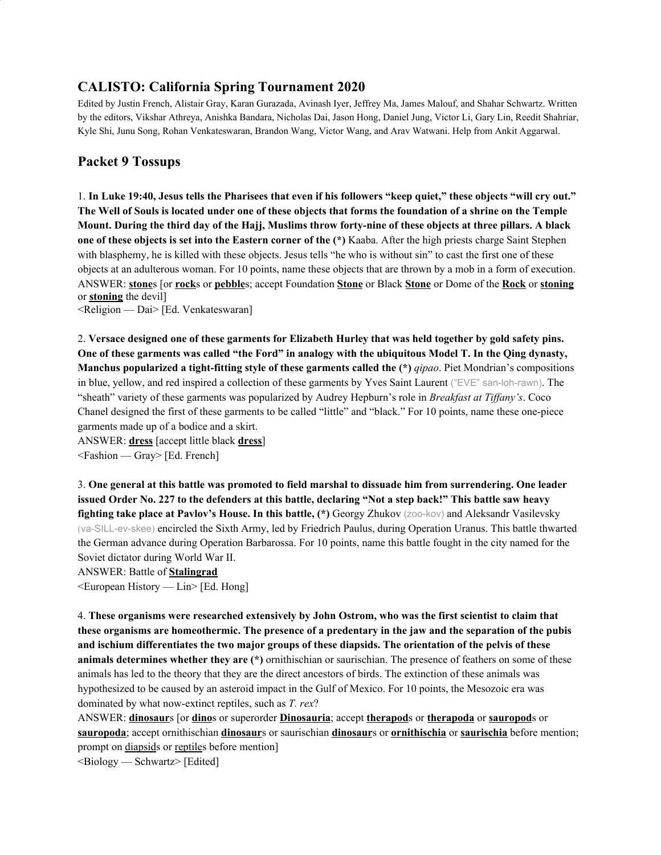# **CALISTO: California Spring Tournament 2020**

Edited by Justin French, Alistair Gray, Karan Gurazada, Avinash Iyer, Jeffrey Ma, James Malouf, and Shahar Schwartz. Written by the editors, Vikshar Athreya, Anishka Bandara, Nicholas Dai, Jason Hong, Daniel Jung, Victor Li, Gary Lin, Reedit Shahriar, Kyle Shi, Junu Song, Rohan Venkateswaran, Brandon Wang, Victor Wang, and Arav Watwani. Help from Ankit Aggarwal.

## **Packet 9 Tossups**

1. In Luke 19:40, Jesus tells the Pharisees that even if his followers "keep quiet," these objects "will cry out." The Well of Souls is located under one of these objects that forms the foundation of a shrine on the Temple Mount. During the third day of the Hajj, Muslims throw forty-nine of these objects at three pillars. A black **one of these objects is set into the Eastern corner of the (\*)** Kaaba. After the high priests charge Saint Stephen with blasphemy, he is killed with these objects. Jesus tells "he who is without sin" to cast the first one of these objects at an adulterous woman. For 10 points, name these objects that are thrown by a mob in a form of execution. ANSWER: **stone**s [or **rock**s or **pebble**s; accept Foundation **Stone** or Black **Stone** or Dome of the **Rock** or **stoning** or **stoning** the devil]

<Religion — Dai> [Ed. Venkateswaran]

2. Versace designed one of these garments for Elizabeth Hurley that was held together by gold safety pins. One of these garments was called "the Ford" in analogy with the ubiquitous Model T. In the Qing dynasty, **Manchus popularized a tight-fitting style of these garments called the (\*)** *qipao*. Piet Mondrian's compositions in blue, yellow, and red inspired a collection of these garments by Yves Saint Laurent ("EVE" san-loh-rawn). The "sheath" variety of these garments was popularized by Audrey Hepburn's role in *Breakfast at Tif any's*. Coco Chanel designed the first of these garments to be called "little" and "black." For 10 points, name these one-piece garments made up of a bodice and a skirt.

ANSWER: **dress** [accept little black **dress**]

<Fashion — Gray> [Ed. French]

3. **One general at this battle was promoted to field marshal to dissuade him from surrendering. One leader** issued Order No. 227 to the defenders at this battle, declaring "Not a step back!" This battle saw heavy **fighting take place at Pavlov's House. In this battle, (\*)** Georgy Zhukov (zoo-kov) and Aleksandr Vasilevsky (va-SILL-ev-skee) encircled the Sixth Army, led by Friedrich Paulus, during Operation Uranus. This battle thwarted the German advance during Operation Barbarossa. For 10 points, name this battle fought in the city named for the Soviet dictator during World War II.

ANSWER: Battle of **Stalingrad**

<European History — Lin> [Ed. Hong]

4. **These organisms were researched extensively by John Ostrom, who was the first scientist to claim that** these organisms are homeothermic. The presence of a predentary in the jaw and the separation of the pubis **and ischium differentiates the two major groups of these diapsids. The orientation of the pelvis of these animals determines whether they are (\*)** ornithischian or saurischian. The presence of feathers on some of these animals has led to the theory that they are the direct ancestors of birds. The extinction of these animals was hypothesized to be caused by an asteroid impact in the Gulf of Mexico. For 10 points, the Mesozoic era was dominated by what now-extinct reptiles, such as *T. rex*?

ANSWER: **dinosaur**s [or **dino**s or superorder **Dinosauria**; accept **therapod**s or **therapoda** or **sauropod**s or **sauropoda**; accept ornithischian **dinosaur**s or saurischian **dinosaur**s or **ornithischia** or **saurischia** before mention; prompt on diapsids or reptiles before mention]

 $\leq$ Biology — Schwartz $\geq$  [Edited]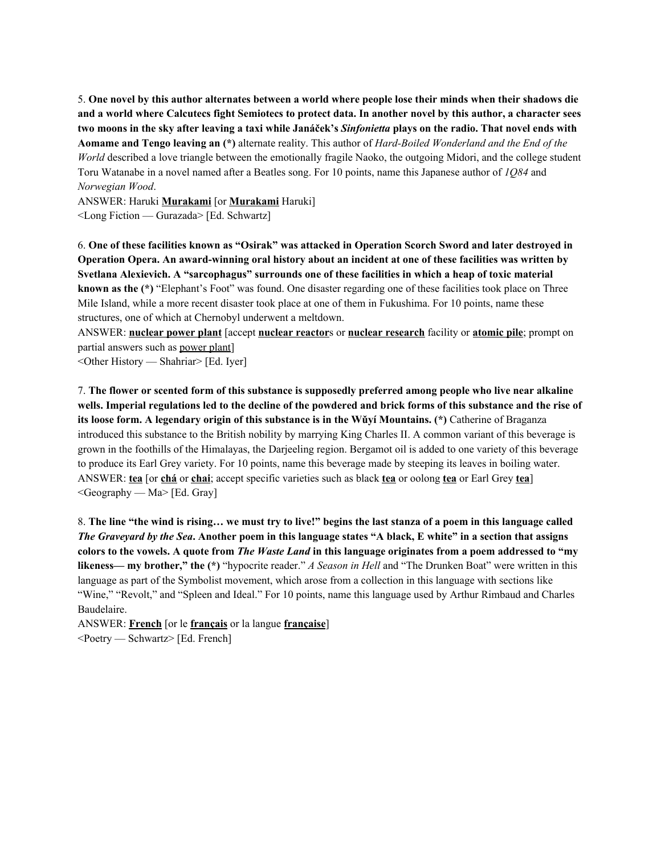5. One novel by this author alternates between a world where people lose their minds when their shadows die and a world where Calcutecs fight Semiotecs to protect data. In another novel by this author, a character sees two moons in the sky after leaving a taxi while Janáček's Sinfonietta plays on the radio. That novel ends with **Aomame and Tengo leaving an (\*)** alternate reality. This author of *Hard-Boiled Wonderland and the End of the World* described a love triangle between the emotionally fragile Naoko, the outgoing Midori, and the college student Toru Watanabe in a novel named after a Beatles song. For 10 points, name this Japanese author of *1Q84* and *Norwegian Wood*.

ANSWER: Haruki **Murakami** [or **Murakami** Haruki]

<Long Fiction — Gurazada> [Ed. Schwartz]

6. One of these facilities known as "Osirak" was attacked in Operation Scorch Sword and later destroyed in Operation Opera. An award-winning oral history about an incident at one of these facilities was written by **Svetlana Alexievich. A "sarcophagus" surrounds one of these facilities in which a heap of toxic material known as the (\*)** "Elephant's Foot" was found. One disaster regarding one of these facilities took place on Three Mile Island, while a more recent disaster took place at one of them in Fukushima. For 10 points, name these structures, one of which at Chernobyl underwent a meltdown.

ANSWER: **nuclear power plant** [accept **nuclear reactor**s or **nuclear research** facility or **atomic pile**; prompt on partial answers such as power plant]

<Other History — Shahriar> [Ed. Iyer]

7. The flower or scented form of this substance is supposedly preferred among people who live near alkaline wells. Imperial regulations led to the decline of the powdered and brick forms of this substance and the rise of **its loose form. A legendary origin of this substance is in the Wǔyí Mountains. (\*)** Catherine of Braganza introduced this substance to the British nobility by marrying King Charles II. A common variant of this beverage is grown in the foothills of the Himalayas, the Darjeeling region. Bergamot oil is added to one variety of this beverage to produce its Earl Grey variety. For 10 points, name this beverage made by steeping its leaves in boiling water. ANSWER: **tea** [or **chá** or **chai**; accept specific varieties such as black **tea** or oolong **tea** or Earl Grey **tea**]  $\leq$ Geography — Ma> [Ed. Gray]

8. The line "the wind is rising... we must try to live!" begins the last stanza of a poem in this language called The Graveyard by the Sea. Another poem in this language states "A black, E white" in a section that assigns colors to the vowels. A quote from The Waste Land in this language originates from a poem addressed to "my **likeness— my brother," the (\*)** "hypocrite reader." *A Season in Hell* and "The Drunken Boat" were written in this language as part of the Symbolist movement, which arose from a collection in this language with sections like "Wine," "Revolt," and "Spleen and Ideal." For 10 points, name this language used by Arthur Rimbaud and Charles Baudelaire.

ANSWER: **French** [or le **français** or la langue **française**] <Poetry — Schwartz> [Ed. French]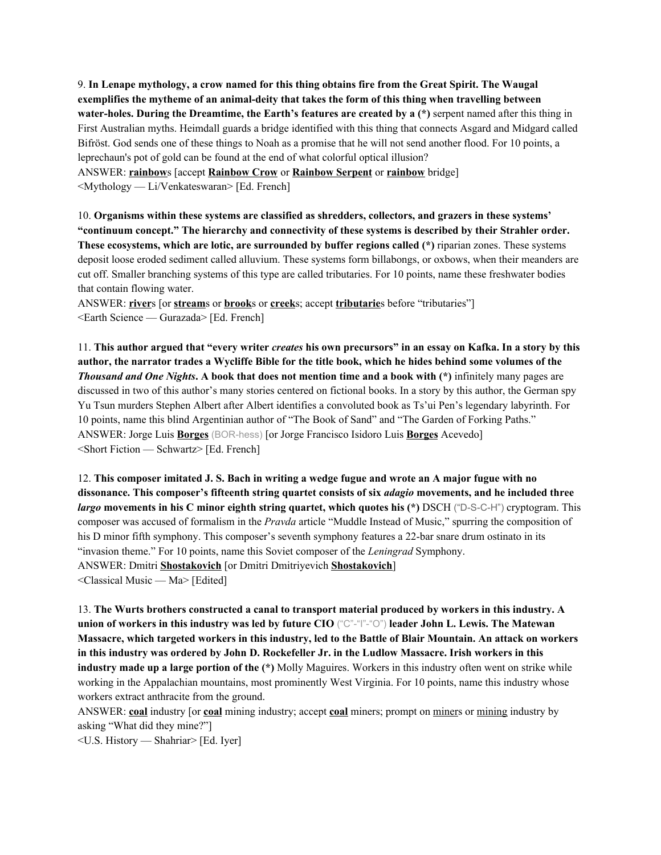9. **In Lenape mythology, a crow named for this thing obtains fire from the Great Spirit. The Waugal exemplifies the mytheme of an animal-deity that takes the form of this thing when travelling between water-holes. During the Dreamtime, the Earth's features are created by a (\*)** serpent named after this thing in First Australian myths. Heimdall guards a bridge identified with this thing that connects Asgard and Midgard called Bifröst. God sends one of these things to Noah as a promise that he will not send another flood. For 10 points, a leprechaun's pot of gold can be found at the end of what colorful optical illusion? ANSWER: **rainbow**s [accept **Rainbow Crow** or **Rainbow Serpent** or **rainbow** bridge]

<Mythology — Li/Venkateswaran> [Ed. French]

10. **Organisms within these systems are classified as shredders, collectors, and grazers in these systems' "continuum concept." The hierarchy and connectivity of these systems is described by their Strahler order. These ecosystems, which are lotic, are surrounded by buffer regions called (\*)** riparian zones. These systems deposit loose eroded sediment called alluvium. These systems form billabongs, or oxbows, when their meanders are cut off. Smaller branching systems of this type are called tributaries. For 10 points, name these freshwater bodies that contain flowing water.

ANSWER: **river**s [or **stream**s or **brook**s or **creek**s; accept **tributarie**s before "tributaries"] <Earth Science — Gurazada> [Ed. French]

11. This author argued that "every writer creates his own precursors" in an essay on Kafka. In a story by this author, the narrator trades a Wycliffe Bible for the title book, which he hides behind some volumes of the *Thousand and One Nights***. A book that does not mention time and a book with (\*)** infinitely many pages are discussed in two of this author's many stories centered on fictional books. In a story by this author, the German spy Yu Tsun murders Stephen Albert after Albert identifies a convoluted book as Ts'ui Pen's legendary labyrinth. For 10 points, name this blind Argentinian author of "The Book of Sand" and "The Garden of Forking Paths." ANSWER: Jorge Luis **Borges** (BOR-hess) [or Jorge Francisco Isidoro Luis **Borges** Acevedo] <Short Fiction — Schwartz> [Ed. French]

12. This composer imitated J. S. Bach in writing a wedge fugue and wrote an A major fugue with no **dissonance. This composer's fifteenth string quartet consists of six** *adagio* **movements, and he included three** *largo* **movements in his C minor eighth string quartet, which quotes his (\*)** DSCH ("D-S-C-H") cryptogram. This composer was accused of formalism in the *Pravda* article "Muddle Instead of Music," spurring the composition of his D minor fifth symphony. This composer's seventh symphony features a 22-bar snare drum ostinato in its "invasion theme." For 10 points, name this Soviet composer of the *Leningrad* Symphony. ANSWER: Dmitri **Shostakovich** [or Dmitri Dmitriyevich **Shostakovich**]

<Classical Music — Ma> [Edited]

13. **The Wurts brothers constructed a canal to transport material produced by workers in this industry. A union of workers in this industry was led by future CIO** ("C"-"I"-"O") **leader John L. Lewis. The Matewan** Massacre, which targeted workers in this industry, led to the Battle of Blair Mountain. An attack on workers in this industry was ordered by John D. Rockefeller Jr. in the Ludlow Massacre. Irish workers in this **industry made up a large portion of the (\*)** Molly Maguires. Workers in this industry often went on strike while working in the Appalachian mountains, most prominently West Virginia. For 10 points, name this industry whose workers extract anthracite from the ground.

ANSWER: **coal** industry [or **coal** mining industry; accept **coal** miners; prompt on miners or mining industry by asking "What did they mine?"]

<U.S. History — Shahriar> [Ed. Iyer]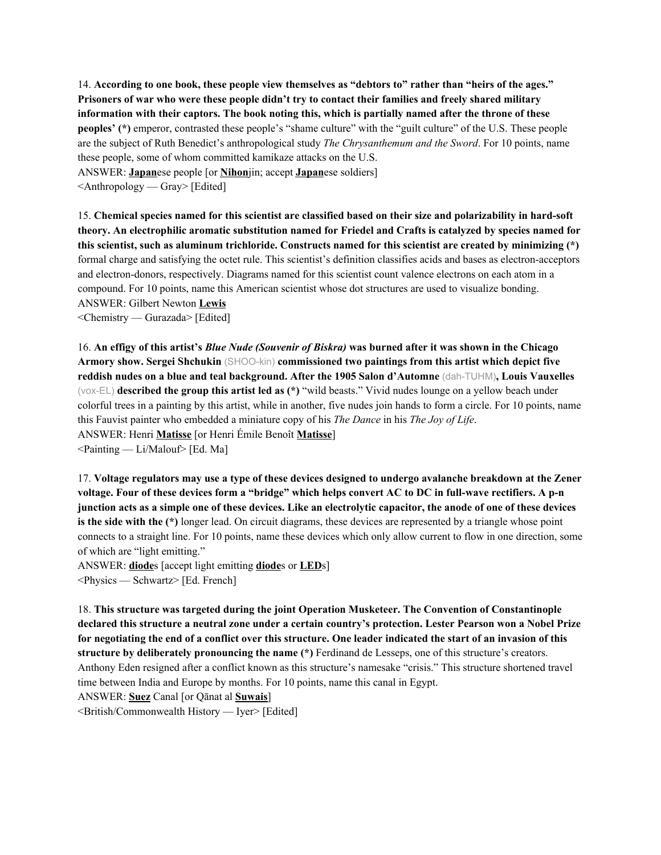14. **According to one book, these people view themselves as "debtors to" rather than "heirs of the ages." Prisoners of war who were these people didn't try to contact their families and freely shared military information with their captors. The book noting this, which is partially named after the throne of these peoples' (\*)** emperor, contrasted these people's "shame culture" with the "guilt culture" of the U.S. These people are the subject of Ruth Benedict's anthropological study *The Chrysanthemum and the Sword*. For 10 points, name these people, some of whom committed kamikaze attacks on the U.S. ANSWER: **Japan**ese people [or **Nihon**jin; accept **Japan**ese soldiers]

<Anthropology — Gray> [Edited]

15. **Chemical species named for this scientist are classified based on their size and polarizability in hard-soft theory. An electrophilic aromatic substitution named for Friedel and Crafts is catalyzed by species named for this scientist, such as aluminum trichloride. Constructs named for this scientist are created by minimizing (\*)** formal charge and satisfying the octet rule. This scientist's definition classifies acids and bases as electron-acceptors and electron-donors, respectively. Diagrams named for this scientist count valence electrons on each atom in a compound. For 10 points, name this American scientist whose dot structures are used to visualize bonding. ANSWER: Gilbert Newton **Lewis**

<Chemistry — Gurazada> [Edited]

16. An effigy of this artist's *Blue Nude (Souvenir of Biskra)* was burned after it was shown in the Chicago **Armory show. Sergei Shchukin** (SHOO-kin) **commissioned two paintings from this artist which depict five reddish nudes on a blue and teal background. After the 1905 Salon d'Automne** (dah-TUHM)**, Louis Vauxelles** (vox-EL) **described the group this artist led as (\*)** "wild beasts." Vivid nudes lounge on a yellow beach under colorful trees in a painting by this artist, while in another, five nudes join hands to form a circle. For 10 points, name this Fauvist painter who embedded a miniature copy of his *The Dance* in his *The Joy of Life*. ANSWER: Henri **Matisse** [or Henri Émile Benoît **Matisse**] <Painting — Li/Malouf> [Ed. Ma]

17. Voltage regulators may use a type of these devices designed to undergo avalanche breakdown at the Zener voltage. Four of these devices form a "bridge" which helps convert AC to DC in full-wave rectifiers. A p-n junction acts as a simple one of these devices. Like an electrolytic capacitor, the anode of one of these devices **is the side with the (\*)** longer lead. On circuit diagrams, these devices are represented by a triangle whose point connects to a straight line. For 10 points, name these devices which only allow current to flow in one direction, some of which are "light emitting."

ANSWER: **diode**s [accept light emitting **diode**s or **LED**s] <Physics — Schwartz> [Ed. French]

18. **This structure was targeted during the joint Operation Musketeer. The Convention of Constantinople** declared this structure a neutral zone under a certain country's protection. Lester Pearson won a Nobel Prize for negotiating the end of a conflict over this structure. One leader indicated the start of an invasion of this **structure by deliberately pronouncing the name (\*)** Ferdinand de Lesseps, one of this structure's creators. Anthony Eden resigned after a conflict known as this structure's namesake "crisis." This structure shortened travel time between India and Europe by months. For 10 points, name this canal in Egypt.

ANSWER: **Suez** Canal [or Qānat al **Suwais**]

<British/Commonwealth History — Iyer> [Edited]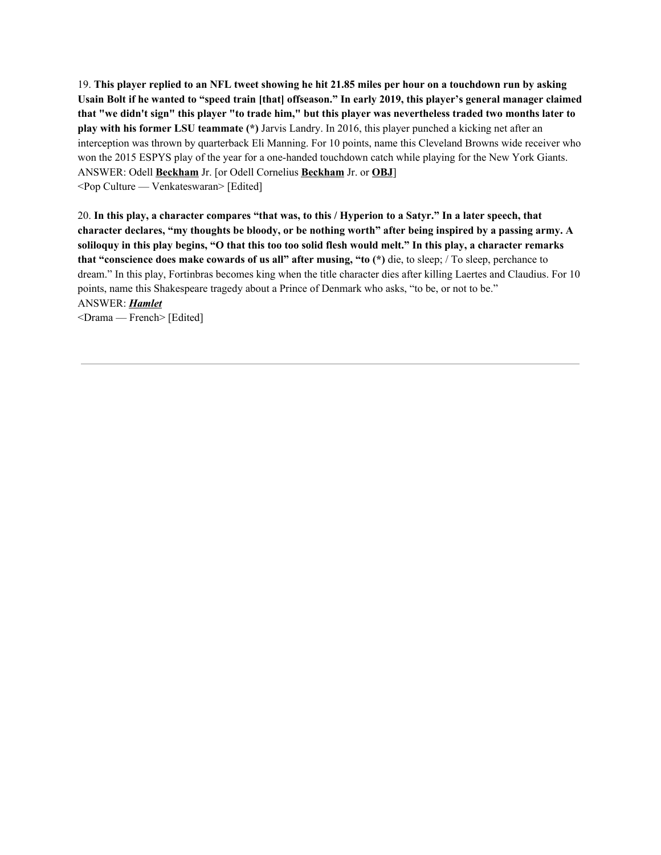19. This player replied to an NFL tweet showing he hit 21.85 miles per hour on a touchdown run by asking Usain Bolt if he wanted to "speed train [that] offseason." In early 2019, this player's general manager claimed that "we didn't sign" this player "to trade him," but this player was nevertheless traded two months later to **play with his former LSU teammate (\*)** Jarvis Landry. In 2016, this player punched a kicking net after an interception was thrown by quarterback Eli Manning. For 10 points, name this Cleveland Browns wide receiver who won the 2015 ESPYS play of the year for a one-handed touchdown catch while playing for the New York Giants. ANSWER: Odell **Beckham** Jr. [or Odell Cornelius **Beckham** Jr. or **OBJ**] <Pop Culture — Venkateswaran> [Edited]

20. In this play, a character compares "that was, to this / Hyperion to a Satyr." In a later speech, that character declares, "my thoughts be bloody, or be nothing worth" after being inspired by a passing army. A soliloguy in this play begins, "O that this too too solid flesh would melt." In this play, a character remarks **that "conscience does make cowards of us all" after musing, "to (\*)** die, to sleep; / To sleep, perchance to dream." In this play, Fortinbras becomes king when the title character dies after killing Laertes and Claudius. For 10 points, name this Shakespeare tragedy about a Prince of Denmark who asks, "to be, or not to be." ANSWER: *Hamlet*

<Drama — French> [Edited]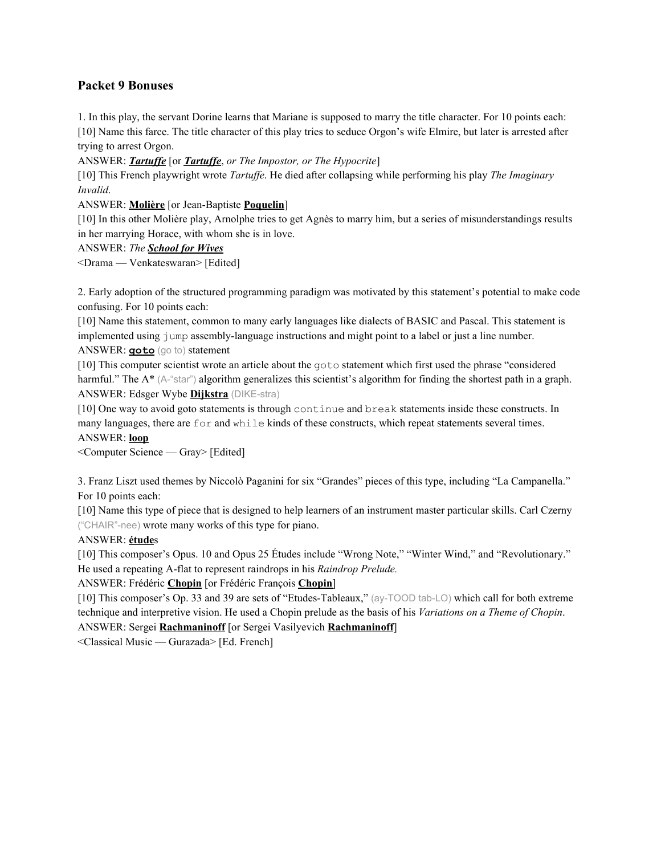## **Packet 9 Bonuses**

1. In this play, the servant Dorine learns that Mariane is supposed to marry the title character. For 10 points each: [10] Name this farce. The title character of this play tries to seduce Orgon's wife Elmire, but later is arrested after trying to arrest Orgon.

ANSWER: **Tartuffe** [or **Tartuffe**, or The Impostor, or The Hypocrite]

[10] This French playwright wrote *Tartuf e*. He died after collapsing while performing his play *The Imaginary Invalid*.

ANSWER: **Molière** [or Jean-Baptiste **Poquelin**]

[10] In this other Molière play, Arnolphe tries to get Agnès to marry him, but a series of misunderstandings results in her marrying Horace, with whom she is in love.

ANSWER: *The School for Wives*

<Drama — Venkateswaran> [Edited]

2. Early adoption of the structured programming paradigm was motivated by this statement's potential to make code confusing. For 10 points each:

[10] Name this statement, common to many early languages like dialects of BASIC and Pascal. This statement is implemented using jump assembly-language instructions and might point to a label or just a line number. ANSWER: **goto** (go to) statement

[10] This computer scientist wrote an article about the goto statement which first used the phrase "considered harmful." The A<sup>\*</sup> (A-"star") algorithm generalizes this scientist's algorithm for finding the shortest path in a graph. ANSWER: Edsger Wybe **Dijkstra** (DIKE-stra)

[10] One way to avoid goto statements is through continue and break statements inside these constructs. In many languages, there are for and while kinds of these constructs, which repeat statements several times. ANSWER: **loop**

<Computer Science — Gray> [Edited]

3. Franz Liszt used themes by Niccolò Paganini for six "Grandes" pieces of this type, including "La Campanella." For 10 points each:

[10] Name this type of piece that is designed to help learners of an instrument master particular skills. Carl Czerny ("CHAIR"-nee) wrote many works of this type for piano.

ANSWER: **étude**s

[10] This composer's Opus. 10 and Opus 25 Études include "Wrong Note," "Winter Wind," and "Revolutionary." He used a repeating A-flat to represent raindrops in his *Raindrop Prelude.*

ANSWER: Frédéric **Chopin** [or Frédéric François **Chopin**]

[10] This composer's Op. 33 and 39 are sets of "Etudes-Tableaux," (ay-TOOD tab-LO) which call for both extreme technique and interpretive vision. He used a Chopin prelude as the basis of his *Variations on a Theme of Chopin*. ANSWER: Sergei **Rachmaninoff** [or Sergei Vasilyevich **Rachmaninoff**]

<Classical Music — Gurazada> [Ed. French]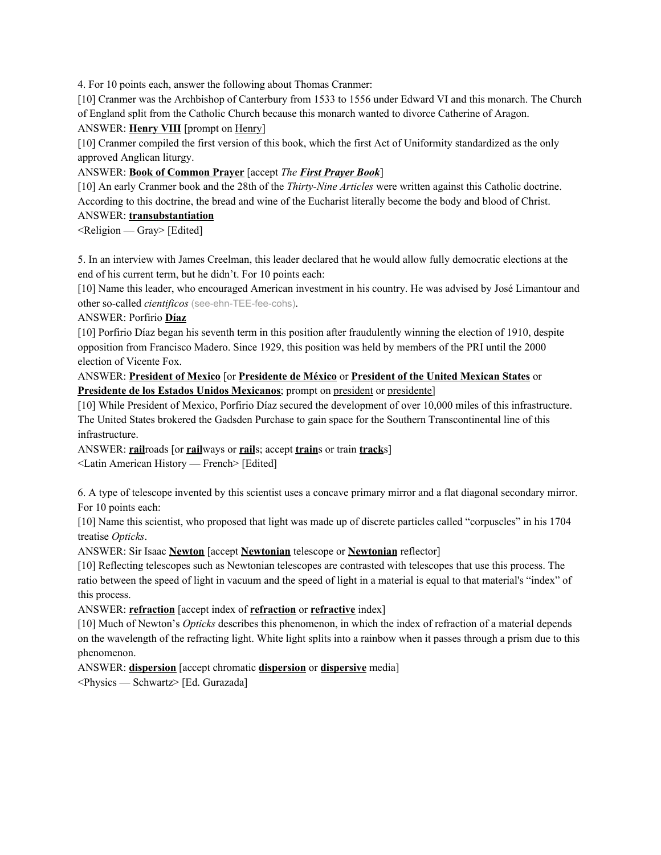4. For 10 points each, answer the following about Thomas Cranmer:

[10] Cranmer was the Archbishop of Canterbury from 1533 to 1556 under Edward VI and this monarch. The Church of England split from the Catholic Church because this monarch wanted to divorce Catherine of Aragon.

### ANSWER: **Henry VIII** [prompt on Henry]

[10] Cranmer compiled the first version of this book, which the first Act of Uniformity standardized as the only approved Anglican liturgy.

## ANSWER: **Book of Common Prayer** [accept *The First Prayer Book*]

[10] An early Cranmer book and the 28th of the *Thirty-Nine Articles* were written against this Catholic doctrine. According to this doctrine, the bread and wine of the Eucharist literally become the body and blood of Christ.

## ANSWER: **transubstantiation**

<Religion — Gray> [Edited]

5. In an interview with James Creelman, this leader declared that he would allow fully democratic elections at the end of his current term, but he didn't. For 10 points each:

[10] Name this leader, who encouraged American investment in his country. He was advised by José Limantour and other so-called *cientificos* (see-ehn-TEE-fee-cohs).

ANSWER: Porfirio **Díaz**

[10] Porfirio Díaz began his seventh term in this position after fraudulently winning the election of 1910, despite opposition from Francisco Madero. Since 1929, this position was held by members of the PRI until the 2000 election of Vicente Fox.

ANSWER: **President of Mexico** [or **Presidente de México** or **President of the United Mexican States** or **Presidente de los Estados Unidos Mexicanos**; prompt on president or presidente]

[10] While President of Mexico, Porfirio Díaz secured the development of over 10,000 miles of this infrastructure. The United States brokered the Gadsden Purchase to gain space for the Southern Transcontinental line of this infrastructure.

ANSWER: **rail**roads [or **rail**ways or **rail**s; accept **train**s or train **track**s]

<Latin American History — French> [Edited]

6. A type of telescope invented by this scientist uses a concave primary mirror and a flat diagonal secondary mirror. For 10 points each:

[10] Name this scientist, who proposed that light was made up of discrete particles called "corpuscles" in his 1704 treatise *Opticks*.

ANSWER: Sir Isaac **Newton** [accept **Newtonian** telescope or **Newtonian** reflector]

[10] Reflecting telescopes such as Newtonian telescopes are contrasted with telescopes that use this process. The ratio between the speed of light in vacuum and the speed of light in a material is equal to that material's "index" of this process.

ANSWER: **refraction** [accept index of **refraction** or **refractive** index]

[10] Much of Newton's *Opticks* describes this phenomenon, in which the index of refraction of a material depends on the wavelength of the refracting light. White light splits into a rainbow when it passes through a prism due to this phenomenon.

ANSWER: **dispersion** [accept chromatic **dispersion** or **dispersive** media]

<Physics — Schwartz> [Ed. Gurazada]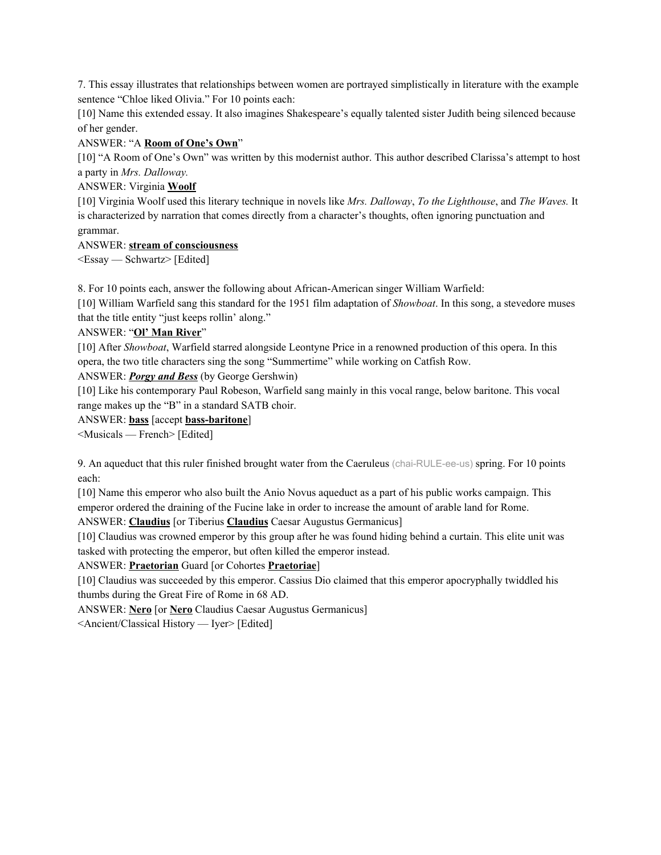7. This essay illustrates that relationships between women are portrayed simplistically in literature with the example sentence "Chloe liked Olivia." For 10 points each:

[10] Name this extended essay. It also imagines Shakespeare's equally talented sister Judith being silenced because of her gender.

## ANSWER: "A **Room of One's Own**"

[10] "A Room of One's Own" was written by this modernist author. This author described Clarissa's attempt to host a party in *Mrs. Dalloway.*

### ANSWER: Virginia **Woolf**

[10] Virginia Woolf used this literary technique in novels like *Mrs. Dalloway*, *To the Lighthouse*, and *The Waves.* It is characterized by narration that comes directly from a character's thoughts, often ignoring punctuation and grammar.

### ANSWER: **stream of consciousness**

<Essay — Schwartz> [Edited]

8. For 10 points each, answer the following about African-American singer William Warfield:

[10] William Warfield sang this standard for the 1951 film adaptation of *Showboat*. In this song, a stevedore muses that the title entity "just keeps rollin' along."

## ANSWER: "**Ol' Man River**"

[10] After *Showboat*, Warfield starred alongside Leontyne Price in a renowned production of this opera. In this opera, the two title characters sing the song "Summertime" while working on Catfish Row.

## ANSWER: *Porgy and Bess* (by George Gershwin)

[10] Like his contemporary Paul Robeson, Warfield sang mainly in this vocal range, below baritone. This vocal range makes up the "B" in a standard SATB choir.

### ANSWER: **bass** [accept **bass-baritone**]

<Musicals — French> [Edited]

9. An aqueduct that this ruler finished brought water from the Caeruleus (chai-RULE-ee-us) spring. For 10 points each:

[10] Name this emperor who also built the Anio Novus aqueduct as a part of his public works campaign. This emperor ordered the draining of the Fucine lake in order to increase the amount of arable land for Rome.

ANSWER: **Claudius** [or Tiberius **Claudius** Caesar Augustus Germanicus]

[10] Claudius was crowned emperor by this group after he was found hiding behind a curtain. This elite unit was tasked with protecting the emperor, but often killed the emperor instead.

## ANSWER: **Praetorian** Guard [or Cohortes **Praetoriae**]

[10] Claudius was succeeded by this emperor. Cassius Dio claimed that this emperor apocryphally twiddled his thumbs during the Great Fire of Rome in 68 AD.

ANSWER: **Nero** [or **Nero** Claudius Caesar Augustus Germanicus]

<Ancient/Classical History — Iyer> [Edited]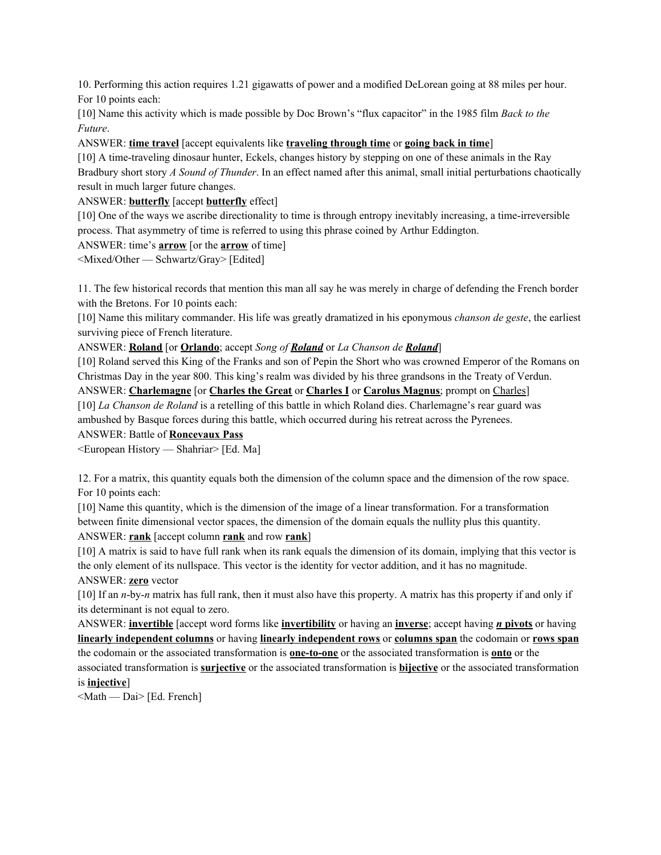10. Performing this action requires 1.21 gigawatts of power and a modified DeLorean going at 88 miles per hour. For 10 points each:

[10] Name this activity which is made possible by Doc Brown's "flux capacitor" in the 1985 film *Back to the Future*.

ANSWER: **time travel** [accept equivalents like **traveling through time** or **going back in time**]

[10] A time-traveling dinosaur hunter, Eckels, changes history by stepping on one of these animals in the Ray Bradbury short story *A Sound of Thunder*. In an effect named after this animal, small initial perturbations chaotically result in much larger future changes.

ANSWER: **butterfly** [accept **butterfly** effect]

[10] One of the ways we ascribe directionality to time is through entropy inevitably increasing, a time-irreversible process. That asymmetry of time is referred to using this phrase coined by Arthur Eddington.

### ANSWER: time's **arrow** [or the **arrow** of time]

<Mixed/Other — Schwartz/Gray> [Edited]

11. The few historical records that mention this man all say he was merely in charge of defending the French border with the Bretons. For 10 points each:

[10] Name this military commander. His life was greatly dramatized in his eponymous *chanson de geste*, the earliest surviving piece of French literature.

ANSWER: **Roland** [or **Orlando**; accept *Song of Roland* or *La Chanson de Roland*]

[10] Roland served this King of the Franks and son of Pepin the Short who was crowned Emperor of the Romans on Christmas Day in the year 800. This king's realm was divided by his three grandsons in the Treaty of Verdun.

ANSWER: **Charlemagne** [or **Charles the Great** or **Charles I** or **Carolus Magnus**; prompt on Charles] [10] *La Chanson de Roland* is a retelling of this battle in which Roland dies. Charlemagne's rear guard was ambushed by Basque forces during this battle, which occurred during his retreat across the Pyrenees.

ANSWER: Battle of **Roncevaux Pass**

<European History — Shahriar> [Ed. Ma]

12. For a matrix, this quantity equals both the dimension of the column space and the dimension of the row space. For 10 points each:

[10] Name this quantity, which is the dimension of the image of a linear transformation. For a transformation between finite dimensional vector spaces, the dimension of the domain equals the nullity plus this quantity. ANSWER: **rank** [accept column **rank** and row **rank**]

[10] A matrix is said to have full rank when its rank equals the dimension of its domain, implying that this vector is the only element of its nullspace. This vector is the identity for vector addition, and it has no magnitude.

## ANSWER: **zero** vector

[10] If an *n*-by-*n* matrix has full rank, then it must also have this property. A matrix has this property if and only if its determinant is not equal to zero.

ANSWER: **invertible** [accept word forms like **invertibility** or having an **inverse**; accept having *n* **pivots** or having **linearly independent columns** or having **linearly independent rows** or **columns span** the codomain or **rows span** the codomain or the associated transformation is **one-to-one** or the associated transformation is **onto** or the associated transformation is **surjective** or the associated transformation is **bijective** or the associated transformation is **injective**]

<Math — Dai> [Ed. French]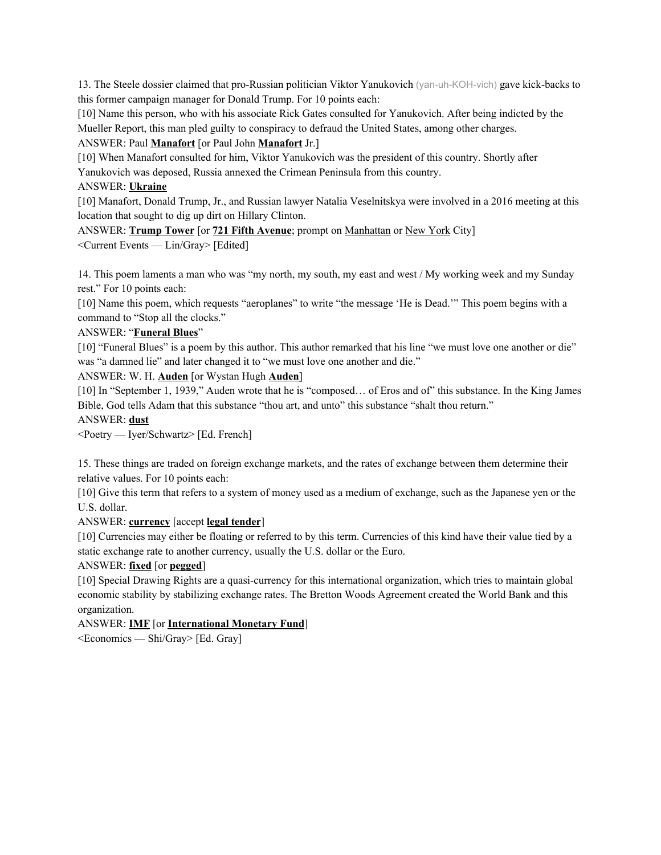13. The Steele dossier claimed that pro-Russian politician Viktor Yanukovich (yan-uh-KOH-vich) gave kick-backs to this former campaign manager for Donald Trump. For 10 points each:

[10] Name this person, who with his associate Rick Gates consulted for Yanukovich. After being indicted by the Mueller Report, this man pled guilty to conspiracy to defraud the United States, among other charges.

ANSWER: Paul **Manafort** [or Paul John **Manafort** Jr.]

[10] When Manafort consulted for him, Viktor Yanukovich was the president of this country. Shortly after

Yanukovich was deposed, Russia annexed the Crimean Peninsula from this country.

### ANSWER: **Ukraine**

[10] Manafort, Donald Trump, Jr., and Russian lawyer Natalia Veselnitskya were involved in a 2016 meeting at this location that sought to dig up dirt on Hillary Clinton.

ANSWER: **Trump Tower** [or **721 Fifth Avenue**; prompt on Manhattan or New York City] <Current Events — Lin/Gray> [Edited]

14. This poem laments a man who was "my north, my south, my east and west / My working week and my Sunday rest." For 10 points each:

[10] Name this poem, which requests "aeroplanes" to write "the message 'He is Dead." This poem begins with a command to "Stop all the clocks."

### ANSWER: "**Funeral Blues**"

[10] "Funeral Blues" is a poem by this author. This author remarked that his line "we must love one another or die" was "a damned lie" and later changed it to "we must love one another and die."

ANSWER: W. H. **Auden** [or Wystan Hugh **Auden**]

[10] In "September 1, 1939," Auden wrote that he is "composed… of Eros and of" this substance. In the King James Bible, God tells Adam that this substance "thou art, and unto" this substance "shalt thou return."

#### ANSWER: **dust**

<Poetry — Iyer/Schwartz> [Ed. French]

15. These things are traded on foreign exchange markets, and the rates of exchange between them determine their relative values. For 10 points each:

[10] Give this term that refers to a system of money used as a medium of exchange, such as the Japanese yen or the U.S. dollar.

## ANSWER: **currency** [accept **legal tender**]

[10] Currencies may either be floating or referred to by this term. Currencies of this kind have their value tied by a static exchange rate to another currency, usually the U.S. dollar or the Euro.

## ANSWER: **fixed** [or **pegged**]

[10] Special Drawing Rights are a quasi-currency for this international organization, which tries to maintain global economic stability by stabilizing exchange rates. The Bretton Woods Agreement created the World Bank and this organization.

## ANSWER: **IMF** [or **International Monetary Fund**]

<Economics — Shi/Gray> [Ed. Gray]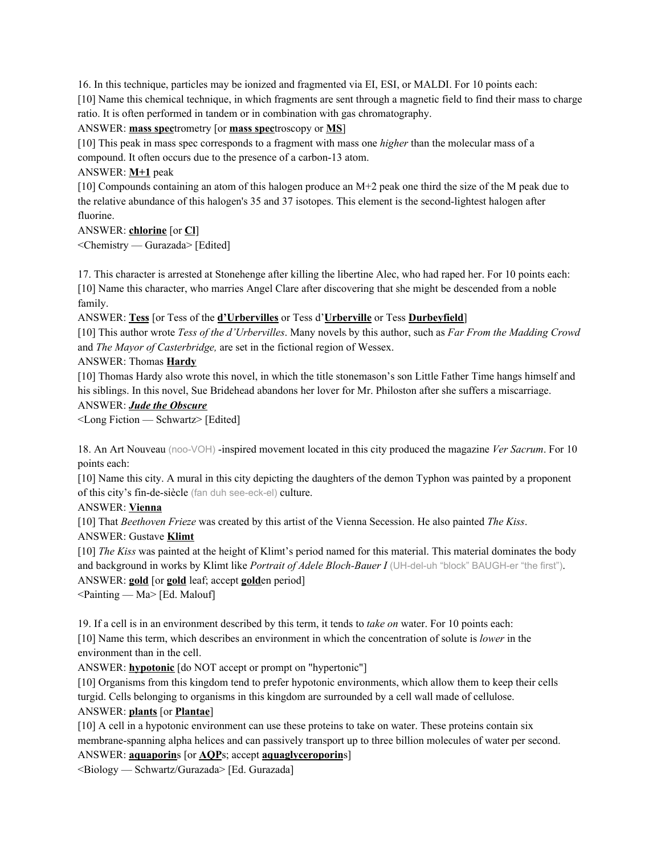16. In this technique, particles may be ionized and fragmented via EI, ESI, or MALDI. For 10 points each: [10] Name this chemical technique, in which fragments are sent through a magnetic field to find their mass to charge ratio. It is often performed in tandem or in combination with gas chromatography.

### ANSWER: **mass spec**trometry [or **mass spec**troscopy or **MS**]

[10] This peak in mass spec corresponds to a fragment with mass one *higher* than the molecular mass of a compound. It often occurs due to the presence of a carbon-13 atom.

ANSWER: **M+1** peak

[10] Compounds containing an atom of this halogen produce an M+2 peak one third the size of the M peak due to the relative abundance of this halogen's 35 and 37 isotopes. This element is the second-lightest halogen after fluorine.

ANSWER: **chlorine** [or **Cl**] <Chemistry — Gurazada> [Edited]

17. This character is arrested at Stonehenge after killing the libertine Alec, who had raped her. For 10 points each: [10] Name this character, who marries Angel Clare after discovering that she might be descended from a noble family.

ANSWER: **Tess** [or Tess of the **d'Urbervilles** or Tess d'**Urberville** or Tess **Durbeyfield**]

[10] This author wrote *Tess of the d'Urbervilles*. Many novels by this author, such as *Far From the Madding Crowd* and *The Mayor of Casterbridge,* are set in the fictional region of Wessex.

ANSWER: Thomas **Hardy**

[10] Thomas Hardy also wrote this novel, in which the title stonemason's son Little Father Time hangs himself and his siblings. In this novel, Sue Bridehead abandons her lover for Mr. Philoston after she suffers a miscarriage.

### ANSWER: *Jude the Obscure*

<Long Fiction — Schwartz> [Edited]

18. An Art Nouveau (noo-VOH) -inspired movement located in this city produced the magazine *Ver Sacrum*. For 10 points each:

[10] Name this city. A mural in this city depicting the daughters of the demon Typhon was painted by a proponent of this city's fin-de-siècle (fan duh see-eck-el) culture.

ANSWER: **Vienna**

[10] That *Beethoven Frieze* was created by this artist of the Vienna Secession. He also painted *The Kiss*.

ANSWER: Gustave **Klimt**

[10] *The Kiss* was painted at the height of Klimt's period named for this material. This material dominates the body and background in works by Klimt like *Portrait of Adele Bloch-Bauer I* (UH-del-uh "block" BAUGH-er "the first"). ANSWER: **gold** [or **gold** leaf; accept **gold**en period]

<Painting — Ma> [Ed. Malouf]

19. If a cell is in an environment described by this term, it tends to *take on* water. For 10 points each:

[10] Name this term, which describes an environment in which the concentration of solute is *lower* in the environment than in the cell.

ANSWER: **hypotonic** [do NOT accept or prompt on "hypertonic"]

[10] Organisms from this kingdom tend to prefer hypotonic environments, which allow them to keep their cells turgid. Cells belonging to organisms in this kingdom are surrounded by a cell wall made of cellulose.

ANSWER: **plants** [or **Plantae**]

[10] A cell in a hypotonic environment can use these proteins to take on water. These proteins contain six membrane-spanning alpha helices and can passively transport up to three billion molecules of water per second.

ANSWER: **aquaporin**s [or **AQP**s; accept **aquaglyceroporin**s]

<Biology — Schwartz/Gurazada> [Ed. Gurazada]